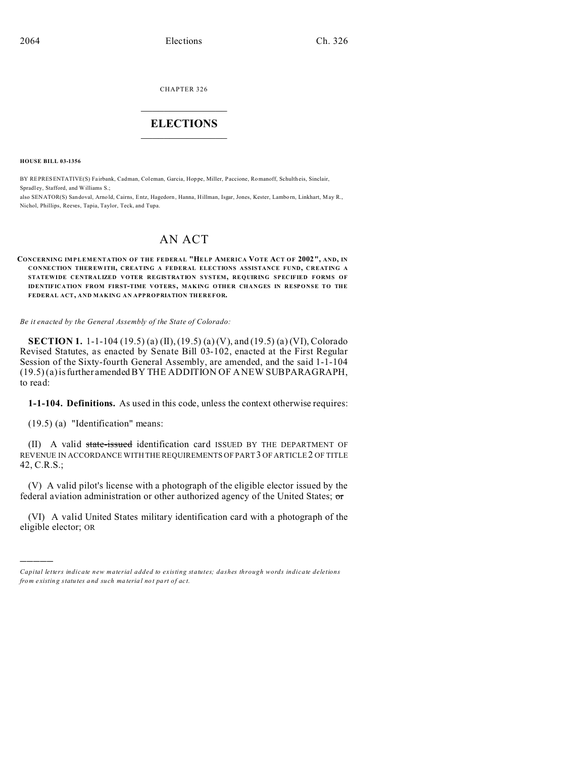CHAPTER 326  $\overline{\phantom{a}}$  , where  $\overline{\phantom{a}}$ 

# **ELECTIONS**  $\_$   $\_$   $\_$   $\_$   $\_$   $\_$   $\_$   $\_$

**HOUSE BILL 03-1356**

BY REPRESENTATIVE(S) Fa irbank, Cadman, Col eman, Garcia, Hop pe, Miller, Paccione, Romanoff, Schulth eis, Sinclair, Spradley, Stafford, and Williams S.;

also SENATOR(S) Sandoval, Arnold, Cairns, Entz, Hagedorn, Hanna, Hillman, Isgar, Jones, Kester, Lamborn, Linkhart, May R., Nichol, Phillips, Reeves, Tapia, Taylor, Teck, and Tupa.

# AN ACT

#### **CONCERNING IMPLEMENTATION OF THE FEDERAL "HELP AMERICA VOTE ACT OF 2002", AND, IN CONNECTION THER EWITH, CREATING A FEDERAL ELECTIONS ASSISTANCE FUND, CREATING A STATEWIDE CENTRALIZED VOTER REGISTRATION SYSTEM, REQUIRING SPECIFIED FORMS OF IDENTIFICATION FROM FIRST-TIME VOTERS, MAKING OTHER CHANGES IN RESPONSE TO THE FEDERAL ACT, AND MAKING AN APPROPRIATION THEREFOR.**

*Be it enacted by the General Assembly of the State of Colorado:*

**SECTION 1.** 1-1-104 (19.5) (a) (II), (19.5) (a) (V), and (19.5) (a) (VI), Colorado Revised Statutes, as enacted by Senate Bill 03-102, enacted at the First Regular Session of the Sixty-fourth General Assembly, are amended, and the said 1-1-104 (19.5) (a) is further amended BY THE ADDITION OF A NEW SUBPARAGRAPH, to read:

**1-1-104. Definitions.** As used in this code, unless the context otherwise requires:

(19.5) (a) "Identification" means:

)))))

(II) A valid state-issued identification card ISSUED BY THE DEPARTMENT OF REVENUE IN ACCORDANCE WITH THE REQUIREMENTS OF PART 3 OF ARTICLE2 OF TITLE 42, C.R.S.;

(V) A valid pilot's license with a photograph of the eligible elector issued by the federal aviation administration or other authorized agency of the United States; or

(VI) A valid United States military identification card with a photograph of the eligible elector; OR

*Capital letters indicate new material added to existing statutes; dashes through words indicate deletions from e xistin g statu tes a nd such ma teria l no t pa rt of ac t.*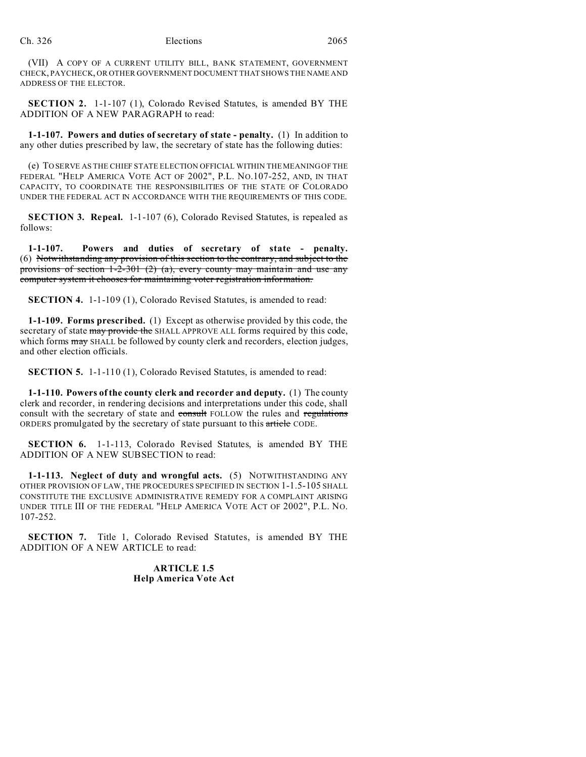(VII) A COPY OF A CURRENT UTILITY BILL, BANK STATEMENT, GOVERNMENT CHECK, PAYCHECK, OR OTHER GOVERNMENT DOCUMENT THAT SHOWS THE NAME AND ADDRESS OF THE ELECTOR.

**SECTION 2.** 1-1-107 (1), Colorado Revised Statutes, is amended BY THE ADDITION OF A NEW PARAGRAPH to read:

**1-1-107. Powers and duties of secretary of state - penalty.** (1) In addition to any other duties prescribed by law, the secretary of state has the following duties:

(e) TO SERVE AS THE CHIEF STATE ELECTION OFFICIAL WITHIN THE MEANING OF THE FEDERAL "HELP AMERICA VOTE ACT OF 2002", P.L. NO.107-252, AND, IN THAT CAPACITY, TO COORDINATE THE RESPONSIBILITIES OF THE STATE OF COLORADO UNDER THE FEDERAL ACT IN ACCORDANCE WITH THE REQUIREMENTS OF THIS CODE.

**SECTION 3. Repeal.** 1-1-107 (6), Colorado Revised Statutes, is repealed as follows:

**1-1-107. Powers and duties of secretary of state - penalty.** (6) Notwithstanding any provision of this section to the contrary, and subject to the provisions of section 1-2-301 (2) (a), every county may maintain and use any computer system it chooses for maintaining voter registration information.

**SECTION 4.** 1-1-109 (1), Colorado Revised Statutes, is amended to read:

**1-1-109. Forms prescribed.** (1) Except as otherwise provided by this code, the secretary of state may provide the SHALL APPROVE ALL forms required by this code, which forms  $\frac{m}{dy}$  SHALL be followed by county clerk and recorders, election judges, and other election officials.

**SECTION 5.** 1-1-110 (1), Colorado Revised Statutes, is amended to read:

**1-1-110. Powers of the county clerk and recorder and deputy.** (1) The county clerk and recorder, in rendering decisions and interpretations under this code, shall consult with the secretary of state and consult FOLLOW the rules and regulations ORDERS promulgated by the secretary of state pursuant to this article CODE.

**SECTION 6.** 1-1-113, Colorado Revised Statutes, is amended BY THE ADDITION OF A NEW SUBSECTION to read:

**1-1-113. Neglect of duty and wrongful acts.** (5) NOTWITHSTANDING ANY OTHER PROVISION OF LAW, THE PROCEDURES SPECIFIED IN SECTION 1-1.5-105 SHALL CONSTITUTE THE EXCLUSIVE ADMINISTRATIVE REMEDY FOR A COMPLAINT ARISING UNDER TITLE III OF THE FEDERAL "HELP AMERICA VOTE ACT OF 2002", P.L. NO. 107-252.

**SECTION 7.** Title 1, Colorado Revised Statutes, is amended BY THE ADDITION OF A NEW ARTICLE to read:

> **ARTICLE 1.5 Help America Vote Act**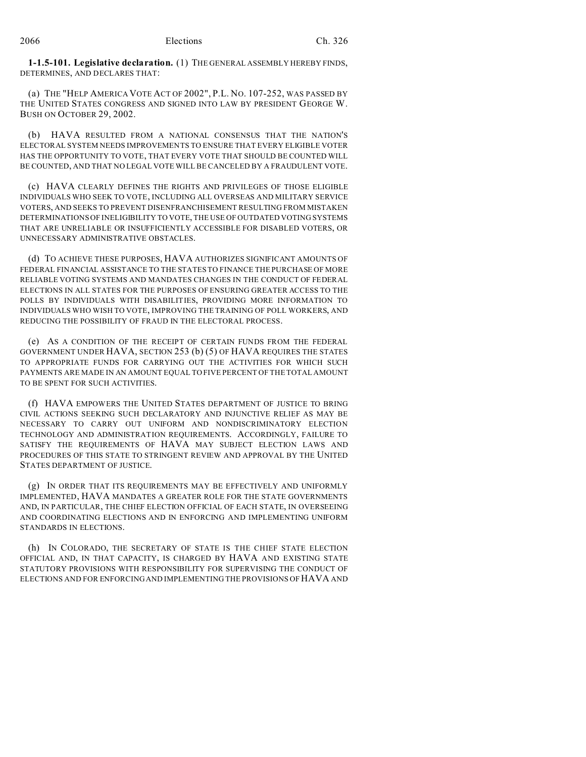**1-1.5-101. Legislative declaration.** (1) THE GENERAL ASSEMBLY HEREBY FINDS, DETERMINES, AND DECLARES THAT:

(a) THE "HELP AMERICA VOTE ACT OF 2002", P.L. NO. 107-252, WAS PASSED BY THE UNITED STATES CONGRESS AND SIGNED INTO LAW BY PRESIDENT GEORGE W. BUSH ON OCTOBER 29, 2002.

(b) HAVA RESULTED FROM A NATIONAL CONSENSUS THAT THE NATION'S ELECTORAL SYSTEM NEEDS IMPROVEMENTS TO ENSURE THAT EVERY ELIGIBLE VOTER HAS THE OPPORTUNITY TO VOTE, THAT EVERY VOTE THAT SHOULD BE COUNTED WILL BE COUNTED, AND THAT NO LEGAL VOTE WILL BE CANCELED BY A FRAUDULENT VOTE.

(c) HAVA CLEARLY DEFINES THE RIGHTS AND PRIVILEGES OF THOSE ELIGIBLE INDIVIDUALS WHO SEEK TO VOTE, INCLUDING ALL OVERSEAS AND MILITARY SERVICE VOTERS, AND SEEKS TO PREVENT DISENFRANCHISEMENT RESULTING FROM MISTAKEN DETERMINATIONS OF INELIGIBILITY TO VOTE, THE USE OF OUTDATED VOTING SYSTEMS THAT ARE UNRELIABLE OR INSUFFICIENTLY ACCESSIBLE FOR DISABLED VOTERS, OR UNNECESSARY ADMINISTRATIVE OBSTACLES.

(d) TO ACHIEVE THESE PURPOSES, HAVA AUTHORIZES SIGNIFICANT AMOUNTS OF FEDERAL FINANCIAL ASSISTANCE TO THE STATES TO FINANCE THE PURCHASE OF MORE RELIABLE VOTING SYSTEMS AND MANDATES CHANGES IN THE CONDUCT OF FEDERAL ELECTIONS IN ALL STATES FOR THE PURPOSES OF ENSURING GREATER ACCESS TO THE POLLS BY INDIVIDUALS WITH DISABILITIES, PROVIDING MORE INFORMATION TO INDIVIDUALS WHO WISH TO VOTE, IMPROVING THE TRAINING OF POLL WORKERS, AND REDUCING THE POSSIBILITY OF FRAUD IN THE ELECTORAL PROCESS.

(e) AS A CONDITION OF THE RECEIPT OF CERTAIN FUNDS FROM THE FEDERAL GOVERNMENT UNDER HAVA, SECTION 253 (b) (5) OF HAVA REQUIRES THE STATES TO APPROPRIATE FUNDS FOR CARRYING OUT THE ACTIVITIES FOR WHICH SUCH PAYMENTS ARE MADE IN AN AMOUNT EQUAL TO FIVE PERCENT OF THE TOTAL AMOUNT TO BE SPENT FOR SUCH ACTIVITIES.

(f) HAVA EMPOWERS THE UNITED STATES DEPARTMENT OF JUSTICE TO BRING CIVIL ACTIONS SEEKING SUCH DECLARATORY AND INJUNCTIVE RELIEF AS MAY BE NECESSARY TO CARRY OUT UNIFORM AND NONDISCRIMINATORY ELECTION TECHNOLOGY AND ADMINISTRATION REQUIREMENTS. ACCORDINGLY, FAILURE TO SATISFY THE REQUIREMENTS OF HAVA MAY SUBJECT ELECTION LAWS AND PROCEDURES OF THIS STATE TO STRINGENT REVIEW AND APPROVAL BY THE UNITED STATES DEPARTMENT OF JUSTICE.

(g) IN ORDER THAT ITS REQUIREMENTS MAY BE EFFECTIVELY AND UNIFORMLY IMPLEMENTED, HAVA MANDATES A GREATER ROLE FOR THE STATE GOVERNMENTS AND, IN PARTICULAR, THE CHIEF ELECTION OFFICIAL OF EACH STATE, IN OVERSEEING AND COORDINATING ELECTIONS AND IN ENFORCING AND IMPLEMENTING UNIFORM STANDARDS IN ELECTIONS.

(h) IN COLORADO, THE SECRETARY OF STATE IS THE CHIEF STATE ELECTION OFFICIAL AND, IN THAT CAPACITY, IS CHARGED BY HAVA AND EXISTING STATE STATUTORY PROVISIONS WITH RESPONSIBILITY FOR SUPERVISING THE CONDUCT OF ELECTIONS AND FOR ENFORCING AND IMPLEMENTING THE PROVISIONS OF HAVA AND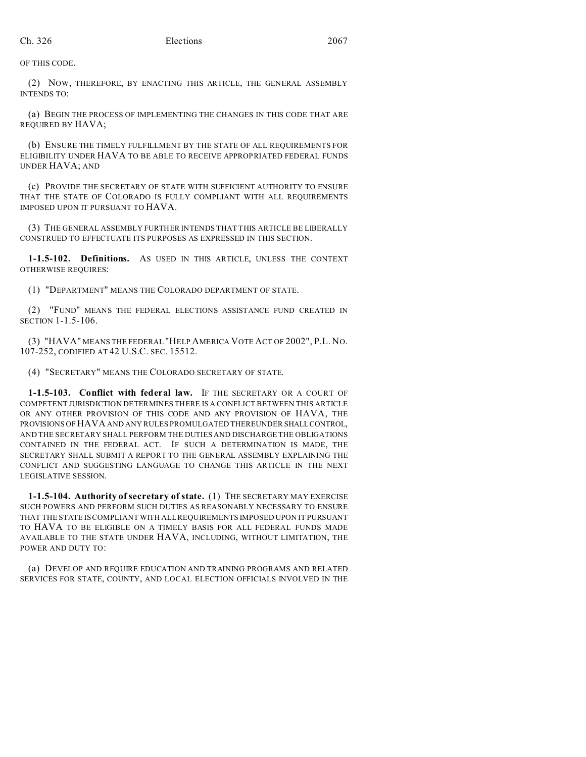OF THIS CODE.

(2) NOW, THEREFORE, BY ENACTING THIS ARTICLE, THE GENERAL ASSEMBLY INTENDS TO:

(a) BEGIN THE PROCESS OF IMPLEMENTING THE CHANGES IN THIS CODE THAT ARE REQUIRED BY HAVA;

(b) ENSURE THE TIMELY FULFILLMENT BY THE STATE OF ALL REQUIREMENTS FOR ELIGIBILITY UNDER HAVA TO BE ABLE TO RECEIVE APPROPRIATED FEDERAL FUNDS UNDER HAVA; AND

(c) PROVIDE THE SECRETARY OF STATE WITH SUFFICIENT AUTHORITY TO ENSURE THAT THE STATE OF COLORADO IS FULLY COMPLIANT WITH ALL REQUIREMENTS IMPOSED UPON IT PURSUANT TO HAVA.

(3) THE GENERAL ASSEMBLY FURTHER INTENDS THAT THIS ARTICLE BE LIBERALLY CONSTRUED TO EFFECTUATE ITS PURPOSES AS EXPRESSED IN THIS SECTION.

**1-1.5-102. Definitions.** AS USED IN THIS ARTICLE, UNLESS THE CONTEXT OTHERWISE REQUIRES:

(1) "DEPARTMENT" MEANS THE COLORADO DEPARTMENT OF STATE.

(2) "FUND" MEANS THE FEDERAL ELECTIONS ASSISTANCE FUND CREATED IN SECTION 1-1.5-106.

(3) "HAVA" MEANS THE FEDERAL "HELP AMERICA VOTE ACT OF 2002", P.L. NO. 107-252, CODIFIED AT 42 U.S.C. SEC. 15512.

(4) "SECRETARY" MEANS THE COLORADO SECRETARY OF STATE.

**1-1.5-103. Conflict with federal law.** IF THE SECRETARY OR A COURT OF COMPETENT JURISDICTION DETERMINES THERE IS A CONFLICT BETWEEN THIS ARTICLE OR ANY OTHER PROVISION OF THIS CODE AND ANY PROVISION OF HAVA, THE PROVISIONS OF HAVA AND ANY RULES PROMULGATED THEREUNDER SHALLCONTROL, AND THE SECRETARY SHALL PERFORM THE DUTIES AND DISCHARGE THE OBLIGATIONS CONTAINED IN THE FEDERAL ACT. IF SUCH A DETERMINATION IS MADE, THE SECRETARY SHALL SUBMIT A REPORT TO THE GENERAL ASSEMBLY EXPLAINING THE CONFLICT AND SUGGESTING LANGUAGE TO CHANGE THIS ARTICLE IN THE NEXT LEGISLATIVE SESSION.

**1-1.5-104. Authority of secretary of state.** (1) THE SECRETARY MAY EXERCISE SUCH POWERS AND PERFORM SUCH DUTIES AS REASONABLY NECESSARY TO ENSURE THAT THE STATE IS COMPLIANT WITH ALL REQUIREMENTS IMPOSED UPON IT PURSUANT TO HAVA TO BE ELIGIBLE ON A TIMELY BASIS FOR ALL FEDERAL FUNDS MADE AVAILABLE TO THE STATE UNDER HAVA, INCLUDING, WITHOUT LIMITATION, THE POWER AND DUTY TO:

(a) DEVELOP AND REQUIRE EDUCATION AND TRAINING PROGRAMS AND RELATED SERVICES FOR STATE, COUNTY, AND LOCAL ELECTION OFFICIALS INVOLVED IN THE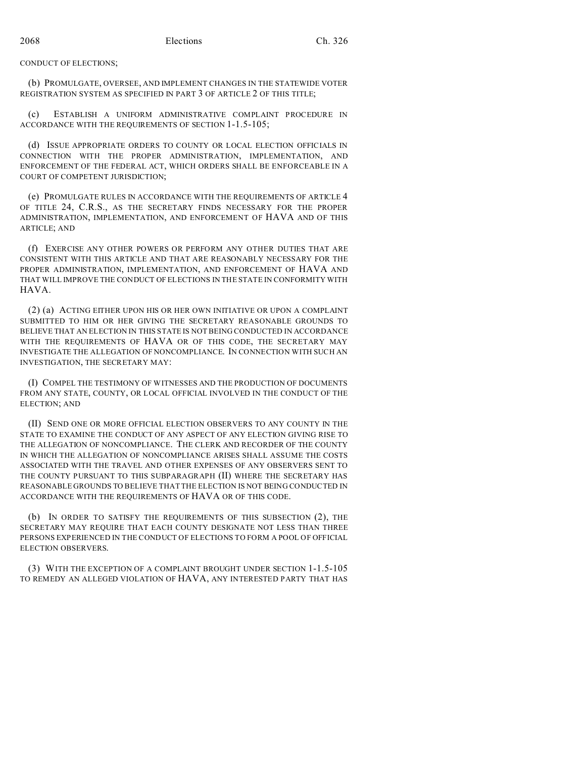#### CONDUCT OF ELECTIONS;

(b) PROMULGATE, OVERSEE, AND IMPLEMENT CHANGES IN THE STATEWIDE VOTER REGISTRATION SYSTEM AS SPECIFIED IN PART 3 OF ARTICLE 2 OF THIS TITLE;

(c) ESTABLISH A UNIFORM ADMINISTRATIVE COMPLAINT PROCEDURE IN ACCORDANCE WITH THE REQUIREMENTS OF SECTION 1-1.5-105;

(d) ISSUE APPROPRIATE ORDERS TO COUNTY OR LOCAL ELECTION OFFICIALS IN CONNECTION WITH THE PROPER ADMINISTRATION, IMPLEMENTATION, AND ENFORCEMENT OF THE FEDERAL ACT, WHICH ORDERS SHALL BE ENFORCEABLE IN A COURT OF COMPETENT JURISDICTION;

(e) PROMULGATE RULES IN ACCORDANCE WITH THE REQUIREMENTS OF ARTICLE 4 OF TITLE 24, C.R.S., AS THE SECRETARY FINDS NECESSARY FOR THE PROPER ADMINISTRATION, IMPLEMENTATION, AND ENFORCEMENT OF HAVA AND OF THIS ARTICLE; AND

(f) EXERCISE ANY OTHER POWERS OR PERFORM ANY OTHER DUTIES THAT ARE CONSISTENT WITH THIS ARTICLE AND THAT ARE REASONABLY NECESSARY FOR THE PROPER ADMINISTRATION, IMPLEMENTATION, AND ENFORCEMENT OF HAVA AND THAT WILL IMPROVE THE CONDUCT OF ELECTIONS IN THE STATE IN CONFORMITY WITH HAVA.

(2) (a) ACTING EITHER UPON HIS OR HER OWN INITIATIVE OR UPON A COMPLAINT SUBMITTED TO HIM OR HER GIVING THE SECRETARY REASONABLE GROUNDS TO BELIEVE THAT AN ELECTION IN THIS STATE IS NOT BEING CONDUCTED IN ACCORDANCE WITH THE REQUIREMENTS OF HAVA OR OF THIS CODE, THE SECRETARY MAY INVESTIGATE THE ALLEGATION OF NONCOMPLIANCE. IN CONNECTION WITH SUCH AN INVESTIGATION, THE SECRETARY MAY:

(I) COMPEL THE TESTIMONY OF WITNESSES AND THE PRODUCTION OF DOCUMENTS FROM ANY STATE, COUNTY, OR LOCAL OFFICIAL INVOLVED IN THE CONDUCT OF THE ELECTION; AND

(II) SEND ONE OR MORE OFFICIAL ELECTION OBSERVERS TO ANY COUNTY IN THE STATE TO EXAMINE THE CONDUCT OF ANY ASPECT OF ANY ELECTION GIVING RISE TO THE ALLEGATION OF NONCOMPLIANCE. THE CLERK AND RECORDER OF THE COUNTY IN WHICH THE ALLEGATION OF NONCOMPLIANCE ARISES SHALL ASSUME THE COSTS ASSOCIATED WITH THE TRAVEL AND OTHER EXPENSES OF ANY OBSERVERS SENT TO THE COUNTY PURSUANT TO THIS SUBPARAGRAPH (II) WHERE THE SECRETARY HAS REASONABLE GROUNDS TO BELIEVE THAT THE ELECTION IS NOT BEING CONDUCTED IN ACCORDANCE WITH THE REQUIREMENTS OF HAVA OR OF THIS CODE.

(b) IN ORDER TO SATISFY THE REQUIREMENTS OF THIS SUBSECTION (2), THE SECRETARY MAY REQUIRE THAT EACH COUNTY DESIGNATE NOT LESS THAN THREE PERSONS EXPERIENCED IN THE CONDUCT OF ELECTIONS TO FORM A POOL OF OFFICIAL ELECTION OBSERVERS.

(3) WITH THE EXCEPTION OF A COMPLAINT BROUGHT UNDER SECTION 1-1.5-105 TO REMEDY AN ALLEGED VIOLATION OF HAVA, ANY INTERESTED PARTY THAT HAS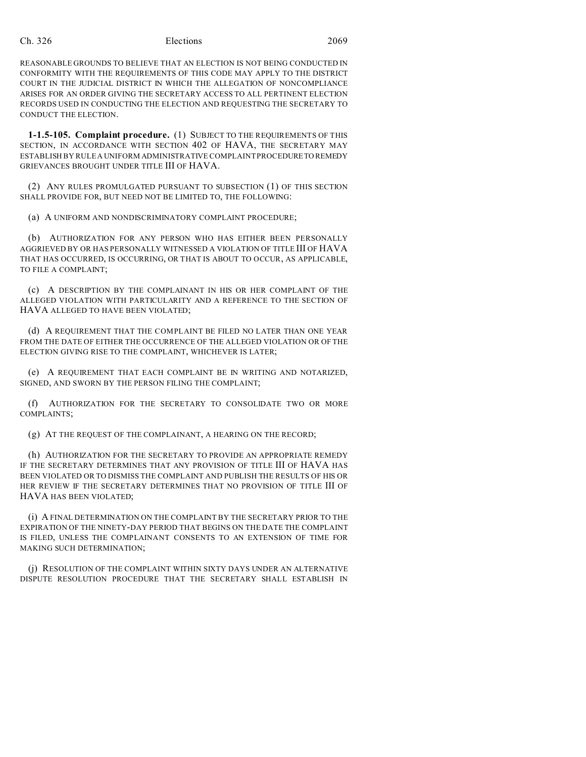## Ch. 326 Elections 2069

REASONABLE GROUNDS TO BELIEVE THAT AN ELECTION IS NOT BEING CONDUCTED IN CONFORMITY WITH THE REQUIREMENTS OF THIS CODE MAY APPLY TO THE DISTRICT COURT IN THE JUDICIAL DISTRICT IN WHICH THE ALLEGATION OF NONCOMPLIANCE ARISES FOR AN ORDER GIVING THE SECRETARY ACCESS TO ALL PERTINENT ELECTION RECORDS USED IN CONDUCTING THE ELECTION AND REQUESTING THE SECRETARY TO CONDUCT THE ELECTION.

**1-1.5-105. Complaint procedure.** (1) SUBJECT TO THE REQUIREMENTS OF THIS SECTION, IN ACCORDANCE WITH SECTION 402 OF HAVA, THE SECRETARY MAY ESTABLISH BY RULE A UNIFORM ADMINISTRATIVE COMPLAINT PROCEDURETO REMEDY GRIEVANCES BROUGHT UNDER TITLE III OF HAVA.

(2) ANY RULES PROMULGATED PURSUANT TO SUBSECTION (1) OF THIS SECTION SHALL PROVIDE FOR, BUT NEED NOT BE LIMITED TO, THE FOLLOWING:

(a) A UNIFORM AND NONDISCRIMINATORY COMPLAINT PROCEDURE;

(b) AUTHORIZATION FOR ANY PERSON WHO HAS EITHER BEEN PERSONALLY AGGRIEVED BY OR HAS PERSONALLY WITNESSED A VIOLATION OF TITLE III OF HAVA THAT HAS OCCURRED, IS OCCURRING, OR THAT IS ABOUT TO OCCUR, AS APPLICABLE, TO FILE A COMPLAINT;

(c) A DESCRIPTION BY THE COMPLAINANT IN HIS OR HER COMPLAINT OF THE ALLEGED VIOLATION WITH PARTICULARITY AND A REFERENCE TO THE SECTION OF HAVA ALLEGED TO HAVE BEEN VIOLATED;

(d) A REQUIREMENT THAT THE COMPLAINT BE FILED NO LATER THAN ONE YEAR FROM THE DATE OF EITHER THE OCCURRENCE OF THE ALLEGED VIOLATION OR OF THE ELECTION GIVING RISE TO THE COMPLAINT, WHICHEVER IS LATER;

(e) A REQUIREMENT THAT EACH COMPLAINT BE IN WRITING AND NOTARIZED, SIGNED, AND SWORN BY THE PERSON FILING THE COMPLAINT;

(f) AUTHORIZATION FOR THE SECRETARY TO CONSOLIDATE TWO OR MORE COMPLAINTS;

(g) AT THE REQUEST OF THE COMPLAINANT, A HEARING ON THE RECORD;

(h) AUTHORIZATION FOR THE SECRETARY TO PROVIDE AN APPROPRIATE REMEDY IF THE SECRETARY DETERMINES THAT ANY PROVISION OF TITLE III OF HAVA HAS BEEN VIOLATED OR TO DISMISS THE COMPLAINT AND PUBLISH THE RESULTS OF HIS OR HER REVIEW IF THE SECRETARY DETERMINES THAT NO PROVISION OF TITLE III OF HAVA HAS BEEN VIOLATED;

(i) A FINAL DETERMINATION ON THE COMPLAINT BY THE SECRETARY PRIOR TO THE EXPIRATION OF THE NINETY-DAY PERIOD THAT BEGINS ON THE DATE THE COMPLAINT IS FILED, UNLESS THE COMPLAINANT CONSENTS TO AN EXTENSION OF TIME FOR MAKING SUCH DETERMINATION;

(j) RESOLUTION OF THE COMPLAINT WITHIN SIXTY DAYS UNDER AN ALTERNATIVE DISPUTE RESOLUTION PROCEDURE THAT THE SECRETARY SHALL ESTABLISH IN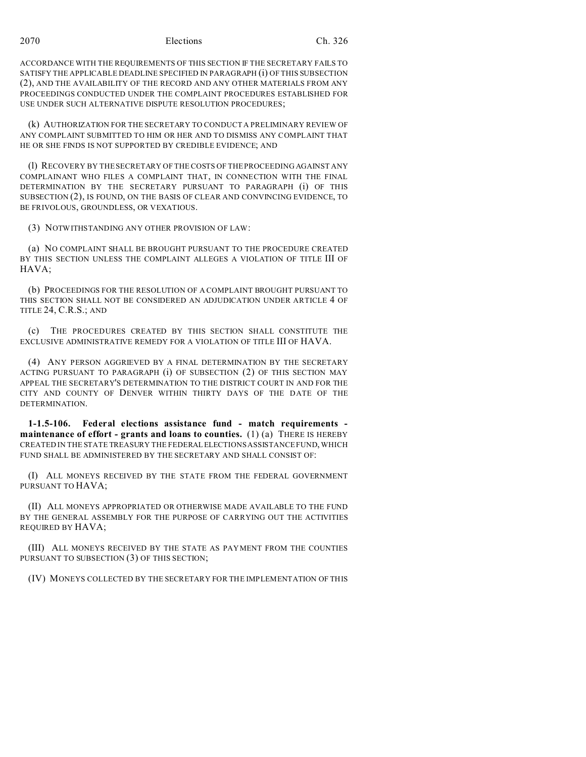2070 Elections Ch. 326

ACCORDANCE WITH THE REQUIREMENTS OF THIS SECTION IF THE SECRETARY FAILS TO SATISFY THE APPLICABLE DEADLINE SPECIFIED IN PARAGRAPH (i) OF THIS SUBSECTION (2), AND THE AVAILABILITY OF THE RECORD AND ANY OTHER MATERIALS FROM ANY PROCEEDINGS CONDUCTED UNDER THE COMPLAINT PROCEDURES ESTABLISHED FOR USE UNDER SUCH ALTERNATIVE DISPUTE RESOLUTION PROCEDURES;

(k) AUTHORIZATION FOR THE SECRETARY TO CONDUCT A PRELIMINARY REVIEW OF ANY COMPLAINT SUBMITTED TO HIM OR HER AND TO DISMISS ANY COMPLAINT THAT HE OR SHE FINDS IS NOT SUPPORTED BY CREDIBLE EVIDENCE; AND

(l) RECOVERY BY THE SECRETARY OF THE COSTS OF THE PROCEEDING AGAINST ANY COMPLAINANT WHO FILES A COMPLAINT THAT, IN CONNECTION WITH THE FINAL DETERMINATION BY THE SECRETARY PURSUANT TO PARAGRAPH (i) OF THIS SUBSECTION (2), IS FOUND, ON THE BASIS OF CLEAR AND CONVINCING EVIDENCE, TO BE FRIVOLOUS, GROUNDLESS, OR VEXATIOUS.

(3) NOTWITHSTANDING ANY OTHER PROVISION OF LAW:

(a) NO COMPLAINT SHALL BE BROUGHT PURSUANT TO THE PROCEDURE CREATED BY THIS SECTION UNLESS THE COMPLAINT ALLEGES A VIOLATION OF TITLE III OF HAVA;

(b) PROCEEDINGS FOR THE RESOLUTION OF A COMPLAINT BROUGHT PURSUANT TO THIS SECTION SHALL NOT BE CONSIDERED AN ADJUDICATION UNDER ARTICLE 4 OF TITLE 24, C.R.S.; AND

(c) THE PROCEDURES CREATED BY THIS SECTION SHALL CONSTITUTE THE EXCLUSIVE ADMINISTRATIVE REMEDY FOR A VIOLATION OF TITLE III OF HAVA.

(4) ANY PERSON AGGRIEVED BY A FINAL DETERMINATION BY THE SECRETARY ACTING PURSUANT TO PARAGRAPH (i) OF SUBSECTION (2) OF THIS SECTION MAY APPEAL THE SECRETARY'S DETERMINATION TO THE DISTRICT COURT IN AND FOR THE CITY AND COUNTY OF DENVER WITHIN THIRTY DAYS OF THE DATE OF THE DETERMINATION.

**1-1.5-106. Federal elections assistance fund - match requirements maintenance of effort - grants and loans to counties.** (1) (a) THERE IS HEREBY CREATED IN THE STATE TREASURY THE FEDERALELECTIONS ASSISTANCE FUND, WHICH FUND SHALL BE ADMINISTERED BY THE SECRETARY AND SHALL CONSIST OF:

(I) ALL MONEYS RECEIVED BY THE STATE FROM THE FEDERAL GOVERNMENT PURSUANT TO HAVA;

(II) ALL MONEYS APPROPRIATED OR OTHERWISE MADE AVAILABLE TO THE FUND BY THE GENERAL ASSEMBLY FOR THE PURPOSE OF CARRYING OUT THE ACTIVITIES REQUIRED BY HAVA;

(III) ALL MONEYS RECEIVED BY THE STATE AS PAYMENT FROM THE COUNTIES PURSUANT TO SUBSECTION (3) OF THIS SECTION;

(IV) MONEYS COLLECTED BY THE SECRETARY FOR THE IMPLEMENTATION OF THIS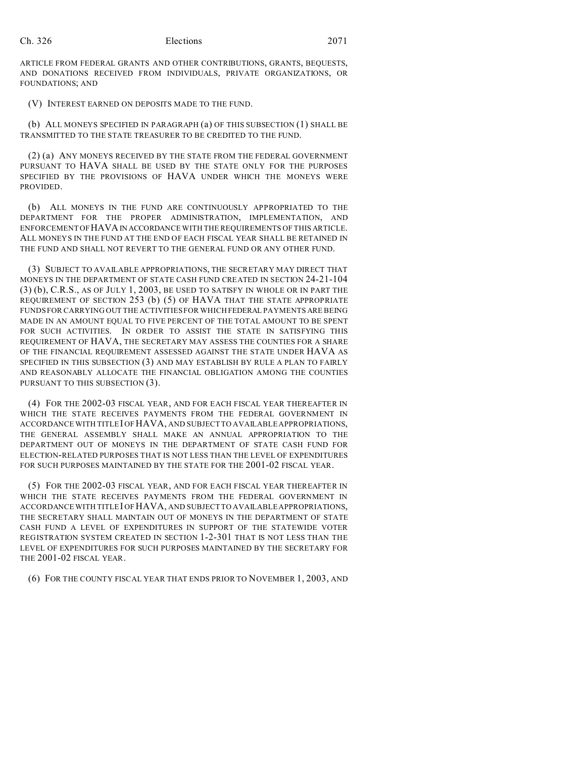ARTICLE FROM FEDERAL GRANTS AND OTHER CONTRIBUTIONS, GRANTS, BEQUESTS, AND DONATIONS RECEIVED FROM INDIVIDUALS, PRIVATE ORGANIZATIONS, OR FOUNDATIONS; AND

(V) INTEREST EARNED ON DEPOSITS MADE TO THE FUND.

(b) ALL MONEYS SPECIFIED IN PARAGRAPH (a) OF THIS SUBSECTION (1) SHALL BE TRANSMITTED TO THE STATE TREASURER TO BE CREDITED TO THE FUND.

(2) (a) ANY MONEYS RECEIVED BY THE STATE FROM THE FEDERAL GOVERNMENT PURSUANT TO HAVA SHALL BE USED BY THE STATE ONLY FOR THE PURPOSES SPECIFIED BY THE PROVISIONS OF HAVA UNDER WHICH THE MONEYS WERE PROVIDED.

(b) ALL MONEYS IN THE FUND ARE CONTINUOUSLY APPROPRIATED TO THE DEPARTMENT FOR THE PROPER ADMINISTRATION, IMPLEMENTATION, AND ENFORCEMENT OF HAVAIN ACCORDANCE WITH THE REQUIREMENTS OF THIS ARTICLE. ALL MONEYS IN THE FUND AT THE END OF EACH FISCAL YEAR SHALL BE RETAINED IN THE FUND AND SHALL NOT REVERT TO THE GENERAL FUND OR ANY OTHER FUND.

(3) SUBJECT TO AVAILABLE APPROPRIATIONS, THE SECRETARY MAY DIRECT THAT MONEYS IN THE DEPARTMENT OF STATE CASH FUND CREATED IN SECTION 24-21-104 (3) (b), C.R.S., AS OF JULY 1, 2003, BE USED TO SATISFY IN WHOLE OR IN PART THE REQUIREMENT OF SECTION 253 (b) (5) OF HAVA THAT THE STATE APPROPRIATE FUNDS FOR CARRYING OUT THE ACTIVITIES FOR WHICH FEDERAL PAYMENTS ARE BEING MADE IN AN AMOUNT EQUAL TO FIVE PERCENT OF THE TOTAL AMOUNT TO BE SPENT FOR SUCH ACTIVITIES. IN ORDER TO ASSIST THE STATE IN SATISFYING THIS REQUIREMENT OF HAVA, THE SECRETARY MAY ASSESS THE COUNTIES FOR A SHARE OF THE FINANCIAL REQUIREMENT ASSESSED AGAINST THE STATE UNDER HAVA AS SPECIFIED IN THIS SUBSECTION (3) AND MAY ESTABLISH BY RULE A PLAN TO FAIRLY AND REASONABLY ALLOCATE THE FINANCIAL OBLIGATION AMONG THE COUNTIES PURSUANT TO THIS SUBSECTION (3).

(4) FOR THE 2002-03 FISCAL YEAR, AND FOR EACH FISCAL YEAR THEREAFTER IN WHICH THE STATE RECEIVES PAYMENTS FROM THE FEDERAL GOVERNMENT IN ACCORDANCE WITH TITLE I OF HAVA, AND SUBJECT TO AVAILABLE APPROPRIATIONS, THE GENERAL ASSEMBLY SHALL MAKE AN ANNUAL APPROPRIATION TO THE DEPARTMENT OUT OF MONEYS IN THE DEPARTMENT OF STATE CASH FUND FOR ELECTION-RELATED PURPOSES THAT IS NOT LESS THAN THE LEVEL OF EXPENDITURES FOR SUCH PURPOSES MAINTAINED BY THE STATE FOR THE 2001-02 FISCAL YEAR.

(5) FOR THE 2002-03 FISCAL YEAR, AND FOR EACH FISCAL YEAR THEREAFTER IN WHICH THE STATE RECEIVES PAYMENTS FROM THE FEDERAL GOVERNMENT IN ACCORDANCE WITH TITLE I OF HAVA, AND SUBJECT TO AVAILABLE APPROPRIATIONS, THE SECRETARY SHALL MAINTAIN OUT OF MONEYS IN THE DEPARTMENT OF STATE CASH FUND A LEVEL OF EXPENDITURES IN SUPPORT OF THE STATEWIDE VOTER REGISTRATION SYSTEM CREATED IN SECTION 1-2-301 THAT IS NOT LESS THAN THE LEVEL OF EXPENDITURES FOR SUCH PURPOSES MAINTAINED BY THE SECRETARY FOR THE 2001-02 FISCAL YEAR.

(6) FOR THE COUNTY FISCAL YEAR THAT ENDS PRIOR TO NOVEMBER 1, 2003, AND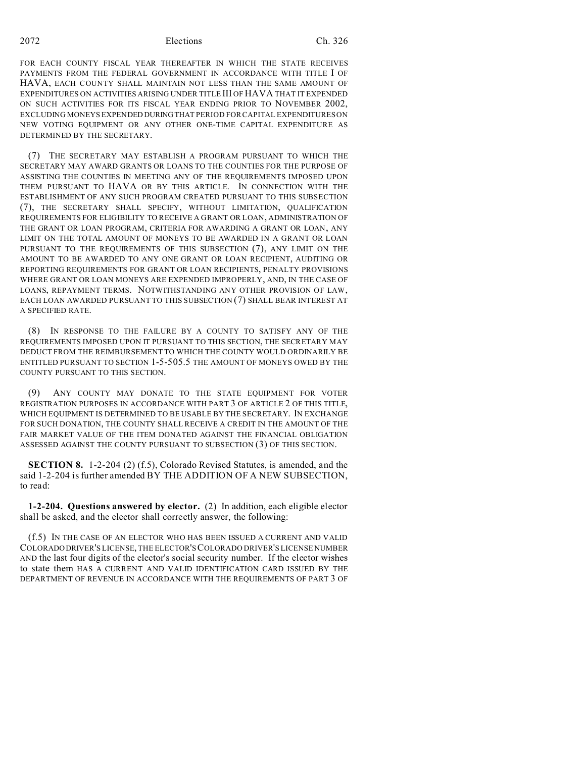FOR EACH COUNTY FISCAL YEAR THEREAFTER IN WHICH THE STATE RECEIVES PAYMENTS FROM THE FEDERAL GOVERNMENT IN ACCORDANCE WITH TITLE I OF HAVA, EACH COUNTY SHALL MAINTAIN NOT LESS THAN THE SAME AMOUNT OF EXPENDITURES ON ACTIVITIES ARISING UNDER TITLE III OF HAVA THAT IT EXPENDED ON SUCH ACTIVITIES FOR ITS FISCAL YEAR ENDING PRIOR TO NOVEMBER 2002, EXCLUDING MONEYS EXPENDED DURING THAT PERIOD FOR CAPITAL EXPENDITURES ON NEW VOTING EQUIPMENT OR ANY OTHER ONE-TIME CAPITAL EXPENDITURE AS DETERMINED BY THE SECRETARY.

(7) THE SECRETARY MAY ESTABLISH A PROGRAM PURSUANT TO WHICH THE SECRETARY MAY AWARD GRANTS OR LOANS TO THE COUNTIES FOR THE PURPOSE OF ASSISTING THE COUNTIES IN MEETING ANY OF THE REQUIREMENTS IMPOSED UPON THEM PURSUANT TO HAVA OR BY THIS ARTICLE. IN CONNECTION WITH THE ESTABLISHMENT OF ANY SUCH PROGRAM CREATED PURSUANT TO THIS SUBSECTION (7), THE SECRETARY SHALL SPECIFY, WITHOUT LIMITATION, QUALIFICATION REQUIREMENTS FOR ELIGIBILITY TO RECEIVE A GRANT OR LOAN, ADMINISTRATION OF THE GRANT OR LOAN PROGRAM, CRITERIA FOR AWARDING A GRANT OR LOAN, ANY LIMIT ON THE TOTAL AMOUNT OF MONEYS TO BE AWARDED IN A GRANT OR LOAN PURSUANT TO THE REQUIREMENTS OF THIS SUBSECTION (7), ANY LIMIT ON THE AMOUNT TO BE AWARDED TO ANY ONE GRANT OR LOAN RECIPIENT, AUDITING OR REPORTING REQUIREMENTS FOR GRANT OR LOAN RECIPIENTS, PENALTY PROVISIONS WHERE GRANT OR LOAN MONEYS ARE EXPENDED IMPROPERLY, AND, IN THE CASE OF LOANS, REPAYMENT TERMS. NOTWITHSTANDING ANY OTHER PROVISION OF LAW, EACH LOAN AWARDED PURSUANT TO THIS SUBSECTION (7) SHALL BEAR INTEREST AT A SPECIFIED RATE.

(8) IN RESPONSE TO THE FAILURE BY A COUNTY TO SATISFY ANY OF THE REQUIREMENTS IMPOSED UPON IT PURSUANT TO THIS SECTION, THE SECRETARY MAY DEDUCT FROM THE REIMBURSEMENT TO WHICH THE COUNTY WOULD ORDINARILY BE ENTITLED PURSUANT TO SECTION 1-5-505.5 THE AMOUNT OF MONEYS OWED BY THE COUNTY PURSUANT TO THIS SECTION.

(9) ANY COUNTY MAY DONATE TO THE STATE EQUIPMENT FOR VOTER REGISTRATION PURPOSES IN ACCORDANCE WITH PART 3 OF ARTICLE 2 OF THIS TITLE, WHICH EQUIPMENT IS DETERMINED TO BE USABLE BY THE SECRETARY. IN EXCHANGE FOR SUCH DONATION, THE COUNTY SHALL RECEIVE A CREDIT IN THE AMOUNT OF THE FAIR MARKET VALUE OF THE ITEM DONATED AGAINST THE FINANCIAL OBLIGATION ASSESSED AGAINST THE COUNTY PURSUANT TO SUBSECTION (3) OF THIS SECTION.

**SECTION 8.** 1-2-204 (2) (f.5), Colorado Revised Statutes, is amended, and the said 1-2-204 is further amended BY THE ADDITION OF A NEW SUBSECTION, to read:

**1-2-204. Questions answered by elector.** (2) In addition, each eligible elector shall be asked, and the elector shall correctly answer, the following:

(f.5) IN THE CASE OF AN ELECTOR WHO HAS BEEN ISSUED A CURRENT AND VALID COLORADO DRIVER'S LICENSE, THE ELECTOR'S COLORADO DRIVER'S LICENSE NUMBER AND the last four digits of the elector's social security number. If the elector wishes to state them HAS A CURRENT AND VALID IDENTIFICATION CARD ISSUED BY THE DEPARTMENT OF REVENUE IN ACCORDANCE WITH THE REQUIREMENTS OF PART 3 OF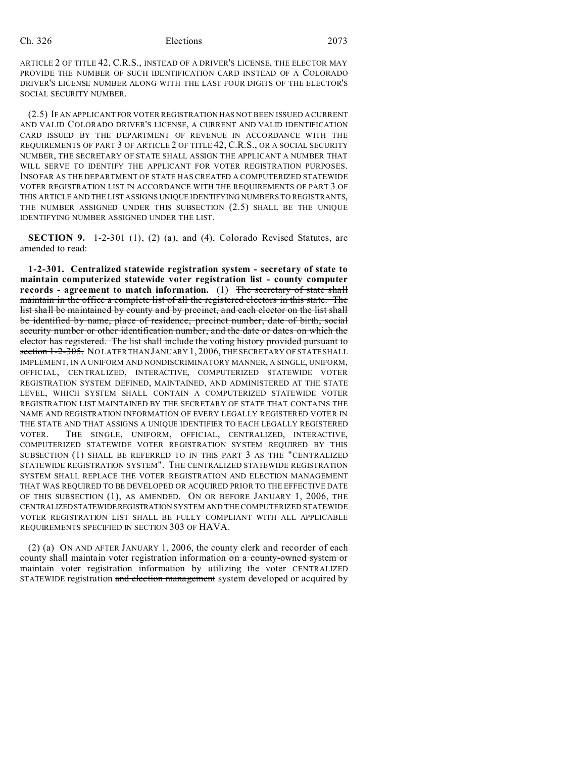### Ch. 326 Elections 2073

ARTICLE 2 OF TITLE 42, C.R.S., INSTEAD OF A DRIVER'S LICENSE, THE ELECTOR MAY PROVIDE THE NUMBER OF SUCH IDENTIFICATION CARD INSTEAD OF A COLORADO DRIVER'S LICENSE NUMBER ALONG WITH THE LAST FOUR DIGITS OF THE ELECTOR'S SOCIAL SECURITY NUMBER.

(2.5) IF AN APPLICANT FOR VOTER REGISTRATION HAS NOT BEEN ISSUED A CURRENT AND VALID COLORADO DRIVER'S LICENSE, A CURRENT AND VALID IDENTIFICATION CARD ISSUED BY THE DEPARTMENT OF REVENUE IN ACCORDANCE WITH THE REQUIREMENTS OF PART 3 OF ARTICLE 2 OF TITLE 42, C.R.S., OR A SOCIAL SECURITY NUMBER, THE SECRETARY OF STATE SHALL ASSIGN THE APPLICANT A NUMBER THAT WILL SERVE TO IDENTIFY THE APPLICANT FOR VOTER REGISTRATION PURPOSES. INSOFAR AS THE DEPARTMENT OF STATE HAS CREATED A COMPUTERIZED STATEWIDE VOTER REGISTRATION LIST IN ACCORDANCE WITH THE REQUIREMENTS OF PART 3 OF THIS ARTICLE AND THE LIST ASSIGNS UNIQUE IDENTIFYING NUMBERS TO REGISTRANTS, THE NUMBER ASSIGNED UNDER THIS SUBSECTION (2.5) SHALL BE THE UNIQUE IDENTIFYING NUMBER ASSIGNED UNDER THE LIST.

**SECTION 9.** 1-2-301 (1), (2) (a), and (4), Colorado Revised Statutes, are amended to read:

**1-2-301. Centralized statewide registration system - secretary of state to maintain computerized statewide voter registration list - county computer records - agreement to match information.** (1) The secretary of state shall maintain in the office a complete list of all the registered electors in this state. The list shall be maintained by county and by precinct, and each elector on the list shall be identified by name, place of residence, precinct number, date of birth, social security number or other identification number, and the date or dates on which the elector has registered. The list shall include the voting history provided pursuant to section 1-2-305. NOLATER THAN JANUARY 1, 2006, THE SECRETARY OF STATE SHALL IMPLEMENT, IN A UNIFORM AND NONDISCRIMINATORY MANNER, A SINGLE, UNIFORM, OFFICIAL, CENTRALIZED, INTERACTIVE, COMPUTERIZED STATEWIDE VOTER REGISTRATION SYSTEM DEFINED, MAINTAINED, AND ADMINISTERED AT THE STATE LEVEL, WHICH SYSTEM SHALL CONTAIN A COMPUTERIZED STATEWIDE VOTER REGISTRATION LIST MAINTAINED BY THE SECRETARY OF STATE THAT CONTAINS THE NAME AND REGISTRATION INFORMATION OF EVERY LEGALLY REGISTERED VOTER IN THE STATE AND THAT ASSIGNS A UNIQUE IDENTIFIER TO EACH LEGALLY REGISTERED VOTER. THE SINGLE, UNIFORM, OFFICIAL, CENTRALIZED, INTERACTIVE, COMPUTERIZED STATEWIDE VOTER REGISTRATION SYSTEM REQUIRED BY THIS SUBSECTION (1) SHALL BE REFERRED TO IN THIS PART 3 AS THE "CENTRALIZED STATEWIDE REGISTRATION SYSTEM". THE CENTRALIZED STATEWIDE REGISTRATION SYSTEM SHALL REPLACE THE VOTER REGISTRATION AND ELECTION MANAGEMENT THAT WAS REQUIRED TO BE DEVELOPED OR ACQUIRED PRIOR TO THE EFFECTIVE DATE OF THIS SUBSECTION (1), AS AMENDED. ON OR BEFORE JANUARY 1, 2006, THE CENTRALIZEDSTATEWIDEREGISTRATION SYSTEM AND THE COMPUTERIZED STATEWIDE VOTER REGISTRATION LIST SHALL BE FULLY COMPLIANT WITH ALL APPLICABLE REQUIREMENTS SPECIFIED IN SECTION 303 OF HAVA.

(2) (a) ON AND AFTER JANUARY 1, 2006, the county clerk and recorder of each county shall maintain voter registration information on a county-owned system or maintain voter registration information by utilizing the voter CENTRALIZED STATEWIDE registration and election management system developed or acquired by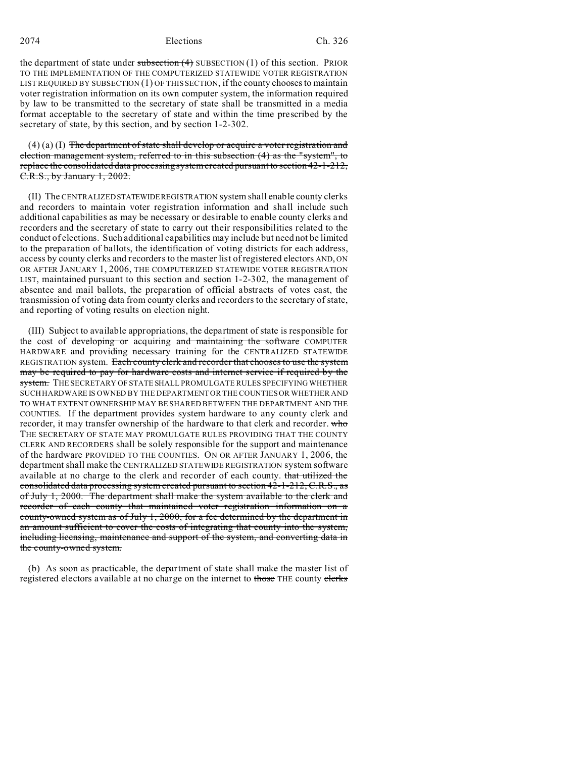2074 Elections Ch. 326

the department of state under subsection  $(4)$  SUBSECTION  $(1)$  of this section. PRIOR TO THE IMPLEMENTATION OF THE COMPUTERIZED STATEWIDE VOTER REGISTRATION LIST REQUIRED BY SUBSECTION (1) OF THIS SECTION, if the county chooses to maintain voter registration information on its own computer system, the information required by law to be transmitted to the secretary of state shall be transmitted in a media format acceptable to the secretary of state and within the time prescribed by the secretary of state, by this section, and by section 1-2-302.

 $(4)$  (a) (I) The department of state shall develop or acquire a voter registration and election management system, referred to in this subsection (4) as the "system", to replace the consolidated data processing system created pursuant to section 42-1-212, C.R.S., by January 1, 2002.

(II) The CENTRALIZED STATEWIDEREGISTRATION system shall enable county clerks and recorders to maintain voter registration information and shall include such additional capabilities as may be necessary or desirable to enable county clerks and recorders and the secretary of state to carry out their responsibilities related to the conduct of elections. Such additional capabilities may include but need not be limited to the preparation of ballots, the identification of voting districts for each address, access by county clerks and recorders to the master list of registered electors AND, ON OR AFTER JANUARY 1, 2006, THE COMPUTERIZED STATEWIDE VOTER REGISTRATION LIST, maintained pursuant to this section and section 1-2-302, the management of absentee and mail ballots, the preparation of official abstracts of votes cast, the transmission of voting data from county clerks and recorders to the secretary of state, and reporting of voting results on election night.

(III) Subject to available appropriations, the department of state is responsible for the cost of developing or acquiring and maintaining the software COMPUTER HARDWARE and providing necessary training for the CENTRALIZED STATEWIDE REGISTRATION system. Each county clerk and recorder that chooses to use the system may be required to pay for hardware costs and internet service if required by the system. THE SECRETARY OF STATE SHALL PROMULGATE RULES SPECIFYING WHETHER SUCH HARDWARE IS OWNED BY THE DEPARTMENT OR THE COUNTIES OR WHETHER AND TO WHAT EXTENT OWNERSHIP MAY BE SHARED BETWEEN THE DEPARTMENT AND THE COUNTIES. If the department provides system hardware to any county clerk and recorder, it may transfer ownership of the hardware to that clerk and recorder. who THE SECRETARY OF STATE MAY PROMULGATE RULES PROVIDING THAT THE COUNTY CLERK AND RECORDERS shall be solely responsible for the support and maintenance of the hardware PROVIDED TO THE COUNTIES. ON OR AFTER JANUARY 1, 2006, the department shall make the CENTRALIZED STATEWIDE REGISTRATION system software available at no charge to the clerk and recorder of each county. that utilized the consolidated data processing system created pursuant to section 42-1-212, C.R.S., as of July 1, 2000. The department shall make the system available to the clerk and recorder of each county that maintained voter registration information on a county-owned system as of July 1, 2000, for a fee determined by the department in an amount sufficient to cover the costs of integrating that county into the system, including licensing, maintenance and support of the system, and converting data in the county-owned system.

(b) As soon as practicable, the department of state shall make the master list of registered electors available at no charge on the internet to those THE county clerks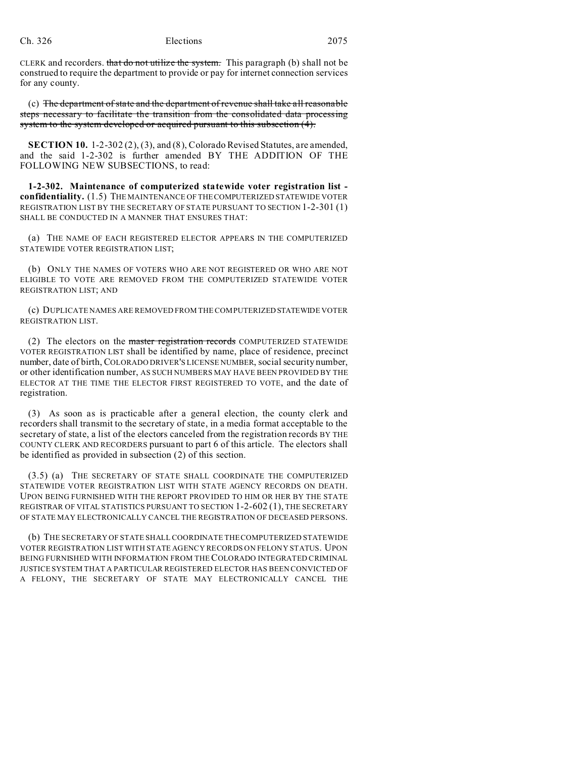CLERK and recorders. that do not utilize the system. This paragraph (b) shall not be construed to require the department to provide or pay for internet connection services for any county.

(c) The department of state and the department of revenue shall take all reasonable steps necessary to facilitate the transition from the consolidated data processing system to the system developed or acquired pursuant to this subsection (4).

**SECTION 10.** 1-2-302 (2), (3), and (8), Colorado Revised Statutes, are amended, and the said 1-2-302 is further amended BY THE ADDITION OF THE FOLLOWING NEW SUBSECTIONS, to read:

**1-2-302. Maintenance of computerized statewide voter registration list confidentiality.** (1.5) THE MAINTENANCE OF THECOMPUTERIZED STATEWIDE VOTER REGISTRATION LIST BY THE SECRETARY OF STATE PURSUANT TO SECTION 1-2-301 (1) SHALL BE CONDUCTED IN A MANNER THAT ENSURES THAT:

(a) THE NAME OF EACH REGISTERED ELECTOR APPEARS IN THE COMPUTERIZED STATEWIDE VOTER REGISTRATION LIST;

(b) ONLY THE NAMES OF VOTERS WHO ARE NOT REGISTERED OR WHO ARE NOT ELIGIBLE TO VOTE ARE REMOVED FROM THE COMPUTERIZED STATEWIDE VOTER REGISTRATION LIST; AND

(c) DUPLICATE NAMES ARE REMOVED FROM THE COMPUTERIZED STATEWIDE VOTER REGISTRATION LIST.

(2) The electors on the master registration records COMPUTERIZED STATEWIDE VOTER REGISTRATION LIST shall be identified by name, place of residence, precinct number, date of birth, COLORADO DRIVER'S LICENSE NUMBER, social security number, or other identification number, AS SUCH NUMBERS MAY HAVE BEEN PROVIDED BY THE ELECTOR AT THE TIME THE ELECTOR FIRST REGISTERED TO VOTE, and the date of registration.

(3) As soon as is practicable after a general election, the county clerk and recorders shall transmit to the secretary of state, in a media format acceptable to the secretary of state, a list of the electors canceled from the registration records BY THE COUNTY CLERK AND RECORDERS pursuant to part 6 of this article. The electors shall be identified as provided in subsection (2) of this section.

(3.5) (a) THE SECRETARY OF STATE SHALL COORDINATE THE COMPUTERIZED STATEWIDE VOTER REGISTRATION LIST WITH STATE AGENCY RECORDS ON DEATH. UPON BEING FURNISHED WITH THE REPORT PROVIDED TO HIM OR HER BY THE STATE REGISTRAR OF VITAL STATISTICS PURSUANT TO SECTION 1-2-602 (1), THE SECRETARY OF STATE MAY ELECTRONICALLY CANCEL THE REGISTRATION OF DECEASED PERSONS.

(b) THE SECRETARY OF STATE SHALL COORDINATE THE COMPUTERIZED STATEWIDE VOTER REGISTRATION LIST WITH STATE AGENCY RECORDS ON FELONY STATUS. UPON BEING FURNISHED WITH INFORMATION FROM THECOLORADO INTEGRATED CRIMINAL JUSTICE SYSTEM THAT A PARTICULAR REGISTERED ELECTOR HAS BEEN CONVICTED OF A FELONY, THE SECRETARY OF STATE MAY ELECTRONICALLY CANCEL THE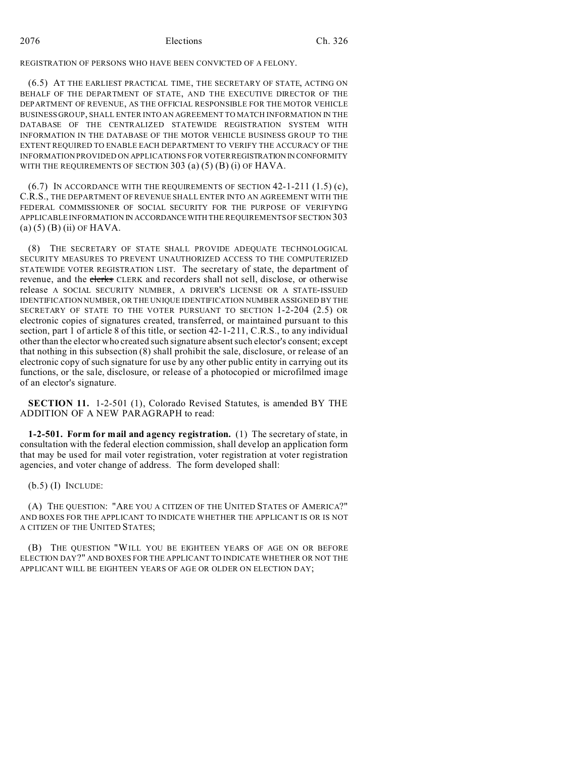REGISTRATION OF PERSONS WHO HAVE BEEN CONVICTED OF A FELONY.

(6.5) AT THE EARLIEST PRACTICAL TIME, THE SECRETARY OF STATE, ACTING ON BEHALF OF THE DEPARTMENT OF STATE, AND THE EXECUTIVE DIRECTOR OF THE DEPARTMENT OF REVENUE, AS THE OFFICIAL RESPONSIBLE FOR THE MOTOR VEHICLE BUSINESS GROUP, SHALL ENTER INTO AN AGREEMENT TO MATCH INFORMATION IN THE DATABASE OF THE CENTRALIZED STATEWIDE REGISTRATION SYSTEM WITH INFORMATION IN THE DATABASE OF THE MOTOR VEHICLE BUSINESS GROUP TO THE EXTENT REQUIRED TO ENABLE EACH DEPARTMENT TO VERIFY THE ACCURACY OF THE INFORMATION PROVIDED ON APPLICATIONS FOR VOTER REGISTRATION IN CONFORMITY WITH THE REQUIREMENTS OF SECTION  $303$  (a) (5) (B) (i) OF HAVA.

 $(6.7)$  In accordance with the requirements of section 42-1-211  $(1.5)$  (c), C.R.S., THE DEPARTMENT OF REVENUE SHALL ENTER INTO AN AGREEMENT WITH THE FEDERAL COMMISSIONER OF SOCIAL SECURITY FOR THE PURPOSE OF VERIFYING APPLICABLE INFORMATION IN ACCORDANCEWITH THE REQUIREMENTS OF SECTION 303  $(a)$  (5) (B) (ii) OF HAVA.

(8) THE SECRETARY OF STATE SHALL PROVIDE ADEQUATE TECHNOLOGICAL SECURITY MEASURES TO PREVENT UNAUTHORIZED ACCESS TO THE COMPUTERIZED STATEWIDE VOTER REGISTRATION LIST. The secretary of state, the department of revenue, and the clerks CLERK and recorders shall not sell, disclose, or otherwise release A SOCIAL SECURITY NUMBER, A DRIVER'S LICENSE OR A STATE-ISSUED IDENTIFICATION NUMBER, OR THE UNIQUE IDENTIFICATION NUMBER ASSIGNED BY THE SECRETARY OF STATE TO THE VOTER PURSUANT TO SECTION 1-2-204 (2.5) OR electronic copies of signatures created, transferred, or maintained pursuant to this section, part 1 of article 8 of this title, or section 42-1-211, C.R.S., to any individual other than the elector who created such signature absent such elector's consent; except that nothing in this subsection (8) shall prohibit the sale, disclosure, or release of an electronic copy of such signature for use by any other public entity in carrying out its functions, or the sale, disclosure, or release of a photocopied or microfilmed image of an elector's signature.

**SECTION 11.** 1-2-501 (1), Colorado Revised Statutes, is amended BY THE ADDITION OF A NEW PARAGRAPH to read:

**1-2-501. Form for mail and agency registration.** (1) The secretary of state, in consultation with the federal election commission, shall develop an application form that may be used for mail voter registration, voter registration at voter registration agencies, and voter change of address. The form developed shall:

(b.5) (I) INCLUDE:

(A) THE QUESTION: "ARE YOU A CITIZEN OF THE UNITED STATES OF AMERICA?" AND BOXES FOR THE APPLICANT TO INDICATE WHETHER THE APPLICANT IS OR IS NOT A CITIZEN OF THE UNITED STATES;

(B) THE QUESTION "WILL YOU BE EIGHTEEN YEARS OF AGE ON OR BEFORE ELECTION DAY?" AND BOXES FOR THE APPLICANT TO INDICATE WHETHER OR NOT THE APPLICANT WILL BE EIGHTEEN YEARS OF AGE OR OLDER ON ELECTION DAY;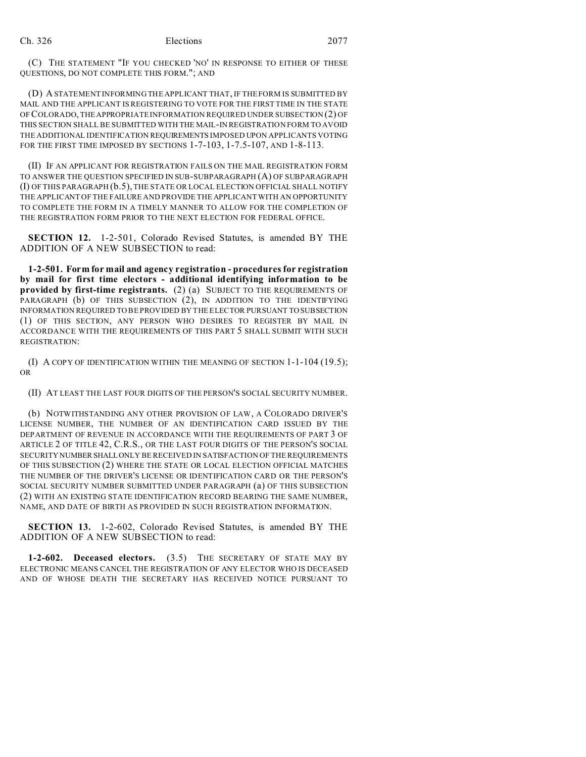(C) THE STATEMENT "IF YOU CHECKED 'NO' IN RESPONSE TO EITHER OF THESE QUESTIONS, DO NOT COMPLETE THIS FORM."; AND

(D) A STATEMENT INFORMING THE APPLICANT THAT, IF THE FORM IS SUBMITTED BY MAIL AND THE APPLICANT IS REGISTERING TO VOTE FOR THE FIRST TIME IN THE STATE OFCOLORADO, THEAPPROPRIATE INFORMATION REQUIRED UNDER SUBSECTION (2) OF THIS SECTION SHALL BE SUBMITTED WITH THE MAIL-IN REGISTRATION FORM TO AVOID THE ADDITIONAL IDENTIFICATION REQUIREMENTS IMPOSED UPON APPLICANTS VOTING FOR THE FIRST TIME IMPOSED BY SECTIONS 1-7-103, 1-7.5-107, AND 1-8-113.

(II) IF AN APPLICANT FOR REGISTRATION FAILS ON THE MAIL REGISTRATION FORM TO ANSWER THE QUESTION SPECIFIED IN SUB-SUBPARAGRAPH (A) OF SUBPARAGRAPH (I) OF THIS PARAGRAPH (b.5), THE STATE OR LOCAL ELECTION OFFICIAL SHALL NOTIFY THE APPLICANT OF THE FAILURE AND PROVIDE THE APPLICANT WITH AN OPPORTUNITY TO COMPLETE THE FORM IN A TIMELY MANNER TO ALLOW FOR THE COMPLETION OF THE REGISTRATION FORM PRIOR TO THE NEXT ELECTION FOR FEDERAL OFFICE.

**SECTION 12.** 1-2-501, Colorado Revised Statutes, is amended BY THE ADDITION OF A NEW SUBSECTION to read:

**1-2-501. Form for mail and agency registration - procedures for registration by mail for first time electors - additional identifying information to be provided by first-time registrants.** (2) (a) SUBJECT TO THE REQUIREMENTS OF PARAGRAPH (b) OF THIS SUBSECTION (2), IN ADDITION TO THE IDENTIFYING INFORMATION REQUIRED TO BE PROVIDED BY THE ELECTOR PURSUANT TO SUBSECTION (1) OF THIS SECTION, ANY PERSON WHO DESIRES TO REGISTER BY MAIL IN ACCORDANCE WITH THE REQUIREMENTS OF THIS PART 5 SHALL SUBMIT WITH SUCH REGISTRATION:

(I) A COPY OF IDENTIFICATION WITHIN THE MEANING OF SECTION 1-1-104 (19.5); OR

(II) AT LEAST THE LAST FOUR DIGITS OF THE PERSON'S SOCIAL SECURITY NUMBER.

(b) NOTWITHSTANDING ANY OTHER PROVISION OF LAW, A COLORADO DRIVER'S LICENSE NUMBER, THE NUMBER OF AN IDENTIFICATION CARD ISSUED BY THE DEPARTMENT OF REVENUE IN ACCORDANCE WITH THE REQUIREMENTS OF PART 3 OF ARTICLE 2 OF TITLE 42, C.R.S., OR THE LAST FOUR DIGITS OF THE PERSON'S SOCIAL SECURITY NUMBERSHALLONLY BE RECEIVED IN SATISFACTION OF THE REQUIREMENTS OF THIS SUBSECTION (2) WHERE THE STATE OR LOCAL ELECTION OFFICIAL MATCHES THE NUMBER OF THE DRIVER'S LICENSE OR IDENTIFICATION CARD OR THE PERSON'S SOCIAL SECURITY NUMBER SUBMITTED UNDER PARAGRAPH (a) OF THIS SUBSECTION (2) WITH AN EXISTING STATE IDENTIFICATION RECORD BEARING THE SAME NUMBER, NAME, AND DATE OF BIRTH AS PROVIDED IN SUCH REGISTRATION INFORMATION.

**SECTION 13.** 1-2-602, Colorado Revised Statutes, is amended BY THE ADDITION OF A NEW SUBSECTION to read:

**1-2-602. Deceased electors.** (3.5) THE SECRETARY OF STATE MAY BY ELECTRONIC MEANS CANCEL THE REGISTRATION OF ANY ELECTOR WHO IS DECEASED AND OF WHOSE DEATH THE SECRETARY HAS RECEIVED NOTICE PURSUANT TO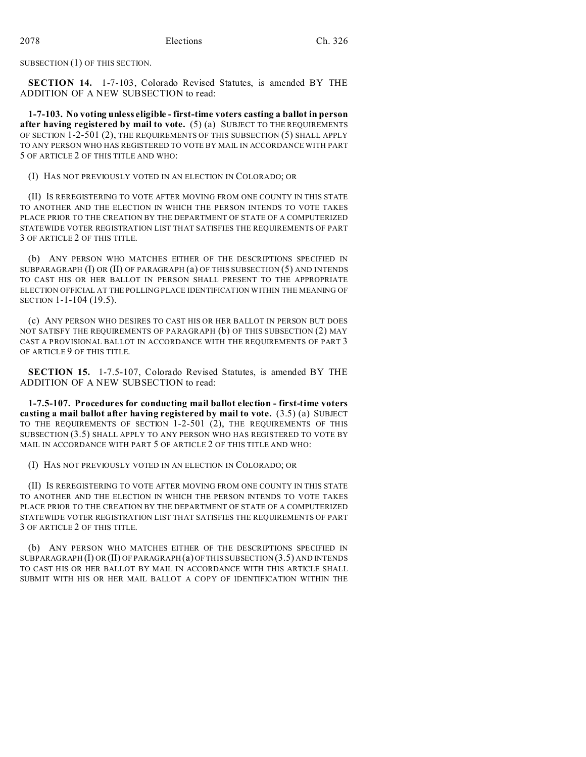SUBSECTION (1) OF THIS SECTION.

**SECTION 14.** 1-7-103, Colorado Revised Statutes, is amended BY THE ADDITION OF A NEW SUBSECTION to read:

**1-7-103. No voting unless eligible - first-time voters casting a ballot in person after having registered by mail to vote.** (5) (a) SUBJECT TO THE REQUIREMENTS OF SECTION 1-2-501 (2), THE REQUIREMENTS OF THIS SUBSECTION (5) SHALL APPLY TO ANY PERSON WHO HAS REGISTERED TO VOTE BY MAIL IN ACCORDANCE WITH PART 5 OF ARTICLE 2 OF THIS TITLE AND WHO:

(I) HAS NOT PREVIOUSLY VOTED IN AN ELECTION IN COLORADO; OR

(II) IS REREGISTERING TO VOTE AFTER MOVING FROM ONE COUNTY IN THIS STATE TO ANOTHER AND THE ELECTION IN WHICH THE PERSON INTENDS TO VOTE TAKES PLACE PRIOR TO THE CREATION BY THE DEPARTMENT OF STATE OF A COMPUTERIZED STATEWIDE VOTER REGISTRATION LIST THAT SATISFIES THE REQUIREMENTS OF PART 3 OF ARTICLE 2 OF THIS TITLE.

(b) ANY PERSON WHO MATCHES EITHER OF THE DESCRIPTIONS SPECIFIED IN SUBPARAGRAPH  $(I)$  OR  $(II)$  OF PARAGRAPH  $(a)$  OF THIS SUBSECTION  $(5)$  AND INTENDS TO CAST HIS OR HER BALLOT IN PERSON SHALL PRESENT TO THE APPROPRIATE ELECTION OFFICIAL AT THE POLLING PLACE IDENTIFICATION WITHIN THE MEANING OF SECTION 1-1-104 (19.5).

(c) ANY PERSON WHO DESIRES TO CAST HIS OR HER BALLOT IN PERSON BUT DOES NOT SATISFY THE REQUIREMENTS OF PARAGRAPH (b) OF THIS SUBSECTION (2) MAY CAST A PROVISIONAL BALLOT IN ACCORDANCE WITH THE REQUIREMENTS OF PART 3 OF ARTICLE 9 OF THIS TITLE.

**SECTION 15.** 1-7.5-107, Colorado Revised Statutes, is amended BY THE ADDITION OF A NEW SUBSECTION to read:

**1-7.5-107. Procedures for conducting mail ballot election - first-time voters casting a mail ballot after having registered by mail to vote.** (3.5) (a) SUBJECT TO THE REQUIREMENTS OF SECTION 1-2-501 (2), THE REQUIREMENTS OF THIS SUBSECTION (3.5) SHALL APPLY TO ANY PERSON WHO HAS REGISTERED TO VOTE BY MAIL IN ACCORDANCE WITH PART 5 OF ARTICLE 2 OF THIS TITLE AND WHO:

(I) HAS NOT PREVIOUSLY VOTED IN AN ELECTION IN COLORADO; OR

(II) IS REREGISTERING TO VOTE AFTER MOVING FROM ONE COUNTY IN THIS STATE TO ANOTHER AND THE ELECTION IN WHICH THE PERSON INTENDS TO VOTE TAKES PLACE PRIOR TO THE CREATION BY THE DEPARTMENT OF STATE OF A COMPUTERIZED STATEWIDE VOTER REGISTRATION LIST THAT SATISFIES THE REQUIREMENTS OF PART 3 OF ARTICLE 2 OF THIS TITLE.

(b) ANY PERSON WHO MATCHES EITHER OF THE DESCRIPTIONS SPECIFIED IN SUBPARAGRAPH (I) OR (II) OF PARAGRAPH (a) OF THIS SUBSECTION (3.5) AND INTENDS TO CAST HIS OR HER BALLOT BY MAIL IN ACCORDANCE WITH THIS ARTICLE SHALL SUBMIT WITH HIS OR HER MAIL BALLOT A COPY OF IDENTIFICATION WITHIN THE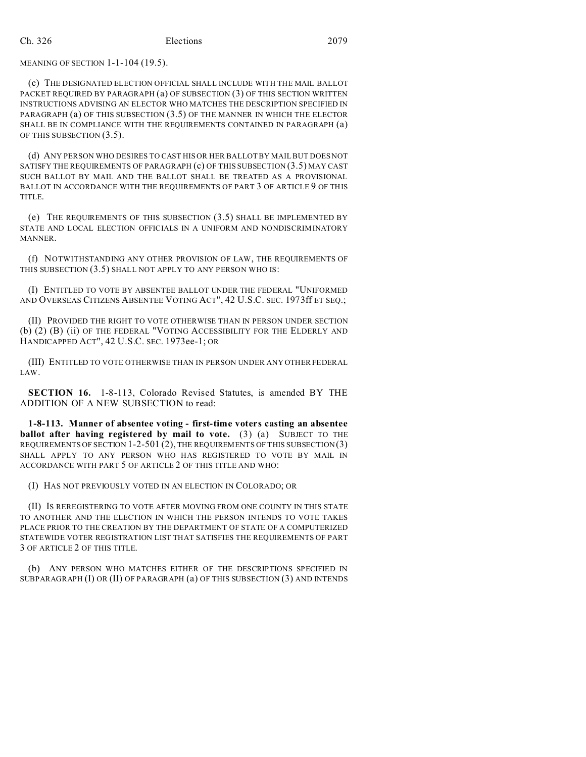## MEANING OF SECTION 1-1-104 (19.5).

(c) THE DESIGNATED ELECTION OFFICIAL SHALL INCLUDE WITH THE MAIL BALLOT PACKET REQUIRED BY PARAGRAPH (a) OF SUBSECTION (3) OF THIS SECTION WRITTEN INSTRUCTIONS ADVISING AN ELECTOR WHO MATCHES THE DESCRIPTION SPECIFIED IN PARAGRAPH (a) OF THIS SUBSECTION (3.5) OF THE MANNER IN WHICH THE ELECTOR SHALL BE IN COMPLIANCE WITH THE REQUIREMENTS CONTAINED IN PARAGRAPH (a) OF THIS SUBSECTION (3.5).

(d) ANY PERSON WHO DESIRES TO CAST HIS OR HER BALLOT BY MAIL BUT DOES NOT SATISFY THE REQUIREMENTS OF PARAGRAPH (c) OF THIS SUBSECTION (3.5) MAY CAST SUCH BALLOT BY MAIL AND THE BALLOT SHALL BE TREATED AS A PROVISIONAL BALLOT IN ACCORDANCE WITH THE REQUIREMENTS OF PART 3 OF ARTICLE 9 OF THIS TITLE.

(e) THE REQUIREMENTS OF THIS SUBSECTION (3.5) SHALL BE IMPLEMENTED BY STATE AND LOCAL ELECTION OFFICIALS IN A UNIFORM AND NONDISCRIMINATORY MANNER.

(f) NOTWITHSTANDING ANY OTHER PROVISION OF LAW, THE REQUIREMENTS OF THIS SUBSECTION (3.5) SHALL NOT APPLY TO ANY PERSON WHO IS:

(I) ENTITLED TO VOTE BY ABSENTEE BALLOT UNDER THE FEDERAL "UNIFORMED AND OVERSEAS CITIZENS ABSENTEE VOTING ACT", 42 U.S.C. SEC. 1973ff ET SEQ.;

(II) PROVIDED THE RIGHT TO VOTE OTHERWISE THAN IN PERSON UNDER SECTION (b) (2) (B) (ii) OF THE FEDERAL "VOTING ACCESSIBILITY FOR THE ELDERLY AND HANDICAPPED ACT", 42 U.S.C. SEC. 1973ee-1; OR

(III) ENTITLED TO VOTE OTHERWISE THAN IN PERSON UNDER ANY OTHER FEDERAL LAW.

**SECTION 16.** 1-8-113, Colorado Revised Statutes, is amended BY THE ADDITION OF A NEW SUBSECTION to read:

**1-8-113. Manner of absentee voting - first-time voters casting an absentee ballot after having registered by mail to vote.** (3) (a) SUBJECT TO THE REQUIREMENTS OF SECTION 1-2-501 (2), THE REQUIREMENTS OF THIS SUBSECTION (3) SHALL APPLY TO ANY PERSON WHO HAS REGISTERED TO VOTE BY MAIL IN ACCORDANCE WITH PART 5 OF ARTICLE 2 OF THIS TITLE AND WHO:

(I) HAS NOT PREVIOUSLY VOTED IN AN ELECTION IN COLORADO; OR

(II) IS REREGISTERING TO VOTE AFTER MOVING FROM ONE COUNTY IN THIS STATE TO ANOTHER AND THE ELECTION IN WHICH THE PERSON INTENDS TO VOTE TAKES PLACE PRIOR TO THE CREATION BY THE DEPARTMENT OF STATE OF A COMPUTERIZED STATEWIDE VOTER REGISTRATION LIST THAT SATISFIES THE REQUIREMENTS OF PART 3 OF ARTICLE 2 OF THIS TITLE.

(b) ANY PERSON WHO MATCHES EITHER OF THE DESCRIPTIONS SPECIFIED IN SUBPARAGRAPH (I) OR (II) OF PARAGRAPH (a) OF THIS SUBSECTION (3) AND INTENDS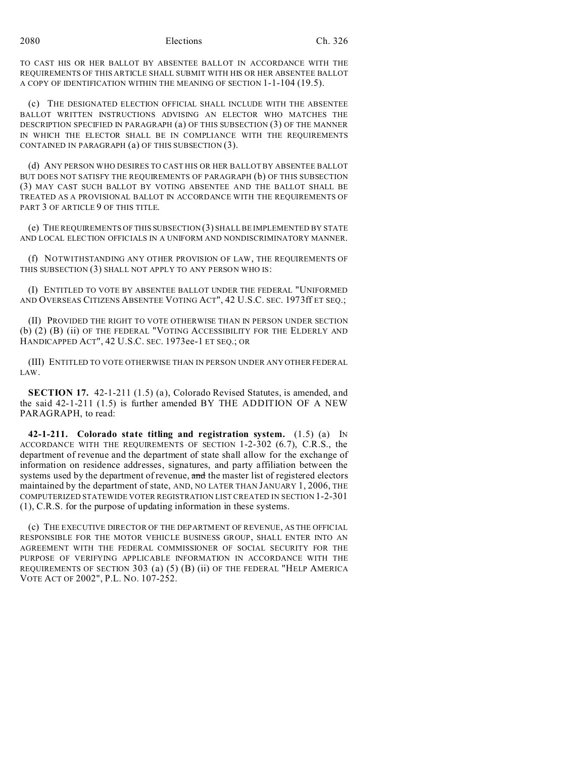TO CAST HIS OR HER BALLOT BY ABSENTEE BALLOT IN ACCORDANCE WITH THE REQUIREMENTS OF THIS ARTICLE SHALL SUBMIT WITH HIS OR HER ABSENTEE BALLOT A COPY OF IDENTIFICATION WITHIN THE MEANING OF SECTION 1-1-104 (19.5).

(c) THE DESIGNATED ELECTION OFFICIAL SHALL INCLUDE WITH THE ABSENTEE BALLOT WRITTEN INSTRUCTIONS ADVISING AN ELECTOR WHO MATCHES THE DESCRIPTION SPECIFIED IN PARAGRAPH (a) OF THIS SUBSECTION (3) OF THE MANNER IN WHICH THE ELECTOR SHALL BE IN COMPLIANCE WITH THE REQUIREMENTS CONTAINED IN PARAGRAPH (a) OF THIS SUBSECTION (3).

(d) ANY PERSON WHO DESIRES TO CAST HIS OR HER BALLOT BY ABSENTEE BALLOT BUT DOES NOT SATISFY THE REQUIREMENTS OF PARAGRAPH (b) OF THIS SUBSECTION (3) MAY CAST SUCH BALLOT BY VOTING ABSENTEE AND THE BALLOT SHALL BE TREATED AS A PROVISIONAL BALLOT IN ACCORDANCE WITH THE REQUIREMENTS OF PART 3 OF ARTICLE 9 OF THIS TITLE.

(e) THE REQUIREMENTS OF THIS SUBSECTION (3) SHALL BE IMPLEMENTED BY STATE AND LOCAL ELECTION OFFICIALS IN A UNIFORM AND NONDISCRIMINATORY MANNER.

(f) NOTWITHSTANDING ANY OTHER PROVISION OF LAW, THE REQUIREMENTS OF THIS SUBSECTION (3) SHALL NOT APPLY TO ANY PERSON WHO IS:

(I) ENTITLED TO VOTE BY ABSENTEE BALLOT UNDER THE FEDERAL "UNIFORMED AND OVERSEAS CITIZENS ABSENTEE VOTING ACT", 42 U.S.C. SEC. 1973ff ET SEQ.;

(II) PROVIDED THE RIGHT TO VOTE OTHERWISE THAN IN PERSON UNDER SECTION (b) (2) (B) (ii) OF THE FEDERAL "VOTING ACCESSIBILITY FOR THE ELDERLY AND HANDICAPPED ACT", 42 U.S.C. SEC. 1973ee-1 ET SEQ.; OR

(III) ENTITLED TO VOTE OTHERWISE THAN IN PERSON UNDER ANY OTHER FEDERAL LAW.

**SECTION 17.** 42-1-211 (1.5) (a), Colorado Revised Statutes, is amended, and the said 42-1-211 (1.5) is further amended BY THE ADDITION OF A NEW PARAGRAPH, to read:

**42-1-211. Colorado state titling and registration system.** (1.5) (a) IN ACCORDANCE WITH THE REQUIREMENTS OF SECTION 1-2-302 (6.7), C.R.S., the department of revenue and the department of state shall allow for the exchange of information on residence addresses, signatures, and party affiliation between the systems used by the department of revenue, and the master list of registered electors maintained by the department of state, AND, NO LATER THAN JANUARY 1, 2006, THE COMPUTERIZED STATEWIDE VOTER REGISTRATION LIST CREATED IN SECTION 1-2-301 (1), C.R.S. for the purpose of updating information in these systems.

(c) THE EXECUTIVE DIRECTOR OF THE DEPARTMENT OF REVENUE, AS THE OFFICIAL RESPONSIBLE FOR THE MOTOR VEHICLE BUSINESS GROUP, SHALL ENTER INTO AN AGREEMENT WITH THE FEDERAL COMMISSIONER OF SOCIAL SECURITY FOR THE PURPOSE OF VERIFYING APPLICABLE INFORMATION IN ACCORDANCE WITH THE REQUIREMENTS OF SECTION 303 (a) (5) (B) (ii) OF THE FEDERAL "HELP AMERICA VOTE ACT OF 2002", P.L. NO. 107-252.